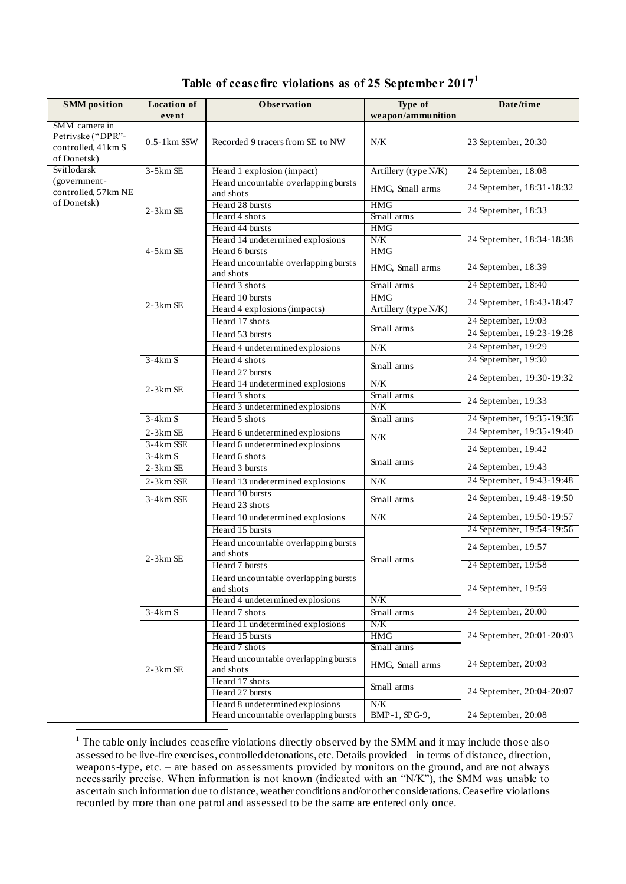|  |  |  |  | Table of ceasefire violations as of 25 September 2017 <sup>1</sup> |
|--|--|--|--|--------------------------------------------------------------------|
|--|--|--|--|--------------------------------------------------------------------|

| <b>SMM</b> position                                                     | <b>Location of</b> | <b>Observation</b>                                | Type of                  | Date/time                 |
|-------------------------------------------------------------------------|--------------------|---------------------------------------------------|--------------------------|---------------------------|
|                                                                         | event              |                                                   | weapon/ammunition        |                           |
| SMM camera in<br>Petrivske ("DPR"-<br>controlled, 41km S<br>of Donetsk) | $0.5-1$ km SSW     | Recorded 9 tracers from SE to NW                  | N/K                      | 23 September, 20:30       |
| Svitlodarsk                                                             | $3-5km$ SE         | Heard 1 explosion (impact)                        | Artillery (type N/K)     | 24 September, 18:08       |
| (government-<br>controlled, 57km NE                                     | $2-3km$ SE         | Heard uncountable overlapping bursts<br>and shots | HMG, Small arms          | 24 September, 18:31-18:32 |
| of Donetsk)                                                             |                    | Heard 28 bursts<br>Heard 4 shots                  | <b>HMG</b><br>Small arms | 24 September, 18:33       |
|                                                                         |                    | Heard 44 bursts                                   | <b>HMG</b>               |                           |
|                                                                         |                    | Heard 14 undetermined explosions                  | N/K                      | 24 September, 18:34-18:38 |
|                                                                         | $4-5km$ SE         | Heard 6 bursts                                    | <b>HMG</b>               |                           |
|                                                                         |                    | Heard uncountable overlapping bursts<br>and shots | HMG, Small arms          | 24 September, 18:39       |
|                                                                         |                    | Heard 3 shots                                     | Small arms               | 24 September, 18:40       |
|                                                                         |                    | Heard 10 bursts                                   | HMG                      | 24 September, 18:43-18:47 |
|                                                                         | $2-3km$ SE         | Heard 4 explosions (impacts)                      | Artillery (type N/K)     |                           |
|                                                                         |                    | Heard 17 shots                                    |                          | 24 September, 19:03       |
|                                                                         |                    | Heard 53 bursts                                   | Small arms               | 24 September, 19:23-19:28 |
|                                                                         |                    | Heard 4 undetermined explosions                   | $N/K$                    | 24 September, 19:29       |
|                                                                         | $3-4km S$          | Heard 4 shots                                     |                          | 24 September, 19:30       |
|                                                                         |                    | Heard 27 bursts                                   | Small arms               |                           |
|                                                                         |                    | Heard 14 undetermined explosions                  | N/K                      | 24 September, 19:30-19:32 |
|                                                                         | $2-3km$ SE         | Heard 3 shots                                     | Small arms               |                           |
|                                                                         |                    | Heard 3 undetermined explosions                   | N/K                      | 24 September, 19:33       |
|                                                                         | $3-4km S$          | Heard 5 shots                                     | Small arms               | 24 September, 19:35-19:36 |
|                                                                         | $2-3km$ SE         | Heard 6 undetermined explosions                   |                          | 24 September, 19:35-19:40 |
|                                                                         | 3-4km SSE          | Heard 6 undetermined explosions                   | $N/K$                    |                           |
|                                                                         | $3-4km S$          | Heard 6 shots                                     |                          | 24 September, 19:42       |
|                                                                         | $2-3km$ SE         | Heard 3 bursts                                    | Small arms               | 24 September, 19:43       |
|                                                                         | 2-3km SSE          | Heard 13 undetermined explosions                  | $N/K$                    | 24 September, 19:43-19:48 |
|                                                                         | 3-4km SSE          | Heard 10 bursts                                   | Small arms               | 24 September, 19:48-19:50 |
|                                                                         |                    | Heard 23 shots                                    |                          |                           |
|                                                                         | $2-3km$ SE         | Heard 10 undetermined explosions                  | $N\!/\!K$                | 24 September, 19:50-19:57 |
|                                                                         |                    | Heard 15 bursts                                   |                          | 24 September, 19:54-19:56 |
|                                                                         |                    | Heard uncountable overlapping bursts              | Small arms               |                           |
|                                                                         |                    | and shots                                         |                          | 24 September, 19:57       |
|                                                                         |                    | Heard 7 bursts                                    |                          | 24 September, 19:58       |
|                                                                         |                    | Heard uncountable overlapping bursts              |                          | 24 September, 19:59       |
|                                                                         |                    | and shots                                         |                          |                           |
|                                                                         |                    | Heard 4 undetermined explosions                   | N/K                      |                           |
|                                                                         | $3-4km S$          | Heard 7 shots                                     | Small arms               | 24 September, 20:00       |
|                                                                         |                    | Heard 11 undetermined explosions                  | N/K                      |                           |
|                                                                         |                    | Heard 15 bursts                                   | <b>HMG</b>               | 24 September, 20:01-20:03 |
|                                                                         | $2-3km$ SE         | Heard 7 shots                                     | Small arms               |                           |
|                                                                         |                    | Heard uncountable overlapping bursts              |                          | 24 September, 20:03       |
|                                                                         |                    | and shots                                         | HMG, Small arms          |                           |
|                                                                         |                    | Heard 17 shots                                    | Small arms               | 24 September, 20:04-20:07 |
|                                                                         |                    | Heard 27 bursts                                   |                          |                           |
|                                                                         |                    | Heard 8 undetermined explosions                   | N/K                      |                           |
|                                                                         |                    | Heard uncountable overlapping bursts              | BMP-1, SPG-9,            | 24 September, 20:08       |

<sup>&</sup>lt;sup>1</sup> The table only includes ceasefire violations directly observed by the SMM and it may include those also assessed to be live-fire exercises, controlled detonations, etc. Details provided – in terms of distance, direction, weapons-type, etc. – are based on assessments provided by monitors on the ground, and are not always necessarily precise. When information is not known (indicated with an "N/K"), the SMM was unable to ascertain such information due to distance, weather conditions and/or other considerations. Ceasefire violations recorded by more than one patrol and assessed to be the same are entered only once.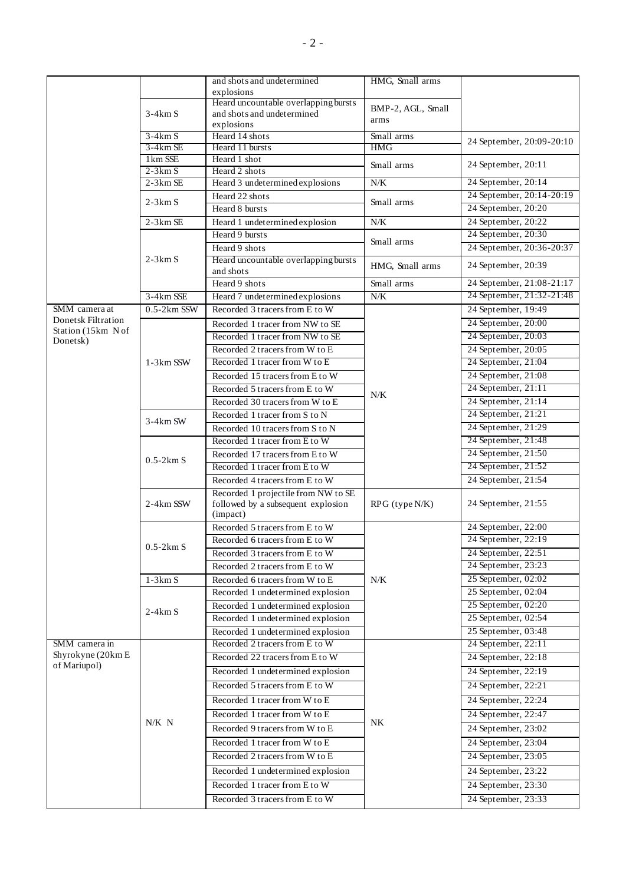|                                   |                                       | and shots and undetermined<br>explosions | HMG, Small arms   |                           |
|-----------------------------------|---------------------------------------|------------------------------------------|-------------------|---------------------------|
|                                   |                                       | Heard uncountable overlapping bursts     |                   |                           |
|                                   | $3-4kmS$                              | and shots and undetermined               | BMP-2, AGL, Small |                           |
|                                   |                                       | explosions                               | arms              |                           |
|                                   | $3-4km S$                             | Heard 14 shots                           | Small arms        |                           |
|                                   | $3-4km$ SE                            | Heard 11 bursts                          | HMG               | 24 September, 20:09-20:10 |
|                                   | 1km SSE                               | Heard 1 shot                             |                   |                           |
|                                   | $2-3km S$                             | Heard 2 shots                            | Small arms        | 24 September, 20:11       |
|                                   | $2-3km$ SE                            | Heard 3 undetermined explosions          | $N/K$             | 24 September, 20:14       |
|                                   |                                       | Heard 22 shots                           |                   | 24 September, 20:14-20:19 |
|                                   | $2-3kmS$                              | Heard 8 bursts                           | Small arms        | 24 September, 20:20       |
|                                   |                                       |                                          |                   | 24 September, 20:22       |
|                                   | $2-3km$ SE                            | Heard 1 undetermined explosion           | $N/K$             |                           |
|                                   |                                       | Heard 9 bursts                           | Small arms        | 24 September, 20:30       |
|                                   |                                       | Heard 9 shots                            |                   | 24 September, 20:36-20:37 |
|                                   | $2-3km S$                             | Heard uncountable overlapping bursts     | HMG, Small arms   | 24 September, 20:39       |
|                                   |                                       | and shots                                | Small arms        | 24 September, 21:08-21:17 |
|                                   |                                       | Heard 9 shots                            |                   |                           |
|                                   | 3-4km SSE                             | Heard 7 undetermined explosions          | N/K               | 24 September, 21:32-21:48 |
| SMM camera at                     | $0.5 - 2km$ SSW                       | Recorded 3 tracers from E to W           |                   | 24 September, 19:49       |
| Donetsk Filtration                |                                       | Recorded 1 tracer from NW to SE          |                   | 24 September, 20:00       |
| Station (15km N of<br>Donetsk)    |                                       | Recorded 1 tracer from NW to SE          |                   | 24 September, 20:03       |
|                                   |                                       | Recorded 2 tracers from W to E           |                   | 24 September, 20:05       |
|                                   | 1-3km SSW                             | Recorded 1 tracer from W to E            |                   | 24 September, 21:04       |
|                                   |                                       | Recorded 15 tracers from E to W          |                   | 24 September, 21:08       |
|                                   |                                       | Recorded 5 tracers from E to W           |                   | 24 September, 21:11       |
|                                   |                                       |                                          | N/K               | 24 September, 21:14       |
|                                   |                                       | Recorded 30 tracers from W to E          |                   |                           |
|                                   | 3-4km SW                              | Recorded 1 tracer from S to N            |                   | 24 September, 21:21       |
|                                   |                                       | Recorded 10 tracers from S to N          |                   | 24 September, 21:29       |
|                                   | $0.5-2km S$                           | Recorded 1 tracer from E to W            |                   | 24 September, 21:48       |
|                                   |                                       | Recorded 17 tracers from E to W          |                   | 24 September, 21:50       |
|                                   |                                       | Recorded 1 tracer from E to W            |                   | 24 September, 21:52       |
|                                   |                                       | Recorded 4 tracers from E to W           |                   | 24 September, 21:54       |
|                                   |                                       | Recorded 1 projectile from NW to SE      |                   |                           |
|                                   | 2-4km SSW                             | followed by a subsequent explosion       | RPG (type N/K)    | 24 September, 21:55       |
|                                   |                                       | (impact)                                 |                   |                           |
|                                   | $0.5-2km S$<br>$1-3km S$<br>$2-4km S$ | Recorded 5 tracers from E to W           | $N\!/\!K$         | 24 September, 22:00       |
|                                   |                                       | Recorded 6 tracers from E to W           |                   | 24 September, 22:19       |
|                                   |                                       | Recorded 3 tracers from E to W           |                   | 24 September, 22:51       |
|                                   |                                       | Recorded 2 tracers from E to W           |                   | 24 September, 23:23       |
|                                   |                                       | Recorded 6 tracers from W to E           |                   | 25 September, 02:02       |
|                                   |                                       | Recorded 1 undetermined explosion        |                   | 25 September, 02:04       |
|                                   |                                       | Recorded 1 undetermined explosion        |                   | 25 September, 02:20       |
|                                   |                                       | Recorded 1 undetermined explosion        |                   | 25 September, 02:54       |
|                                   |                                       |                                          |                   |                           |
|                                   |                                       | Recorded 1 undetermined explosion        |                   | 25 September, 03:48       |
| SMM camera in                     | N/K N                                 | Recorded 2 tracers from E to W           | NK                | 24 September, 22:11       |
| Shyrokyne (20km E<br>of Mariupol) |                                       | Recorded 22 tracers from E to W          |                   | 24 September, 22:18       |
|                                   |                                       | Recorded 1 undetermined explosion        |                   | 24 September, 22:19       |
|                                   |                                       | Recorded 5 tracers from E to W           |                   | 24 September, 22:21       |
|                                   |                                       | Recorded 1 tracer from W to E            |                   | 24 September, 22:24       |
|                                   |                                       | Recorded 1 tracer from W to E            |                   | 24 September, 22:47       |
|                                   |                                       |                                          |                   |                           |
|                                   |                                       | Recorded 9 tracers from W to E           |                   | 24 September, 23:02       |
|                                   |                                       | Recorded 1 tracer from W to E            |                   | 24 September, 23:04       |
|                                   |                                       | Recorded 2 tracers from W to E           |                   | 24 September, 23:05       |
|                                   |                                       | Recorded 1 undetermined explosion        |                   | 24 September, 23:22       |
|                                   |                                       | Recorded 1 tracer from E to W            |                   | 24 September, 23:30       |
|                                   |                                       |                                          |                   |                           |
|                                   |                                       | Recorded 3 tracers from E to W           |                   | 24 September, 23:33       |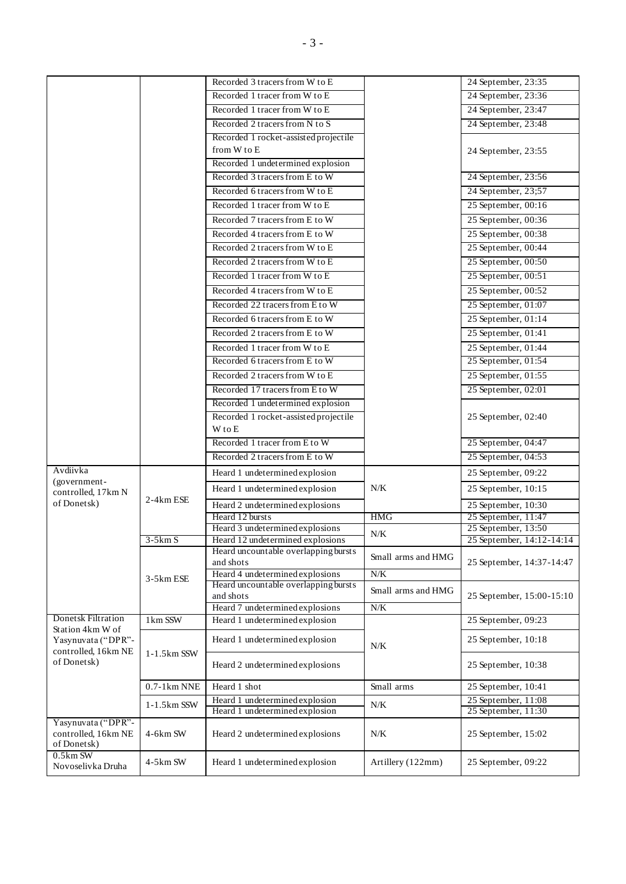|                                                |               | Recorded 3 tracers from W to E                                           |                    | 24 September, 23:35                        |
|------------------------------------------------|---------------|--------------------------------------------------------------------------|--------------------|--------------------------------------------|
|                                                |               | Recorded 1 tracer from W to E                                            |                    | 24 September, 23:36                        |
|                                                |               | Recorded 1 tracer from W to E                                            |                    | 24 September, 23:47                        |
|                                                |               | Recorded 2 tracers from N to S                                           |                    | 24 September, 23:48                        |
|                                                |               | Recorded 1 rocket-assisted projectile                                    |                    |                                            |
|                                                |               | from W to E                                                              |                    | 24 September, 23:55                        |
|                                                |               | Recorded 1 undetermined explosion                                        |                    |                                            |
|                                                |               | Recorded 3 tracers from E to W                                           |                    | 24 September, 23:56                        |
|                                                |               | Recorded 6 tracers from W to E                                           |                    | 24 September, 23;57                        |
|                                                |               | Recorded 1 tracer from W to E                                            |                    | 25 September, 00:16                        |
|                                                |               | Recorded 7 tracers from E to W                                           |                    | 25 September, 00:36                        |
|                                                |               | Recorded 4 tracers from E to W                                           |                    | 25 September, 00:38                        |
|                                                |               | Recorded 2 tracers from W to E                                           |                    | 25 September, 00:44                        |
|                                                |               | Recorded 2 tracers from W to E                                           |                    | $25$ September, $00:50$                    |
|                                                |               | Recorded 1 tracer from W to E                                            |                    | 25 September, 00:51                        |
|                                                |               | Recorded 4 tracers from W to E                                           |                    | 25 September, 00:52                        |
|                                                |               | Recorded 22 tracers from E to W                                          |                    | 25 September, 01:07                        |
|                                                |               | Recorded 6 tracers from E to W                                           |                    | 25 September, 01:14                        |
|                                                |               | Recorded 2 tracers from E to W                                           |                    | 25 September, 01:41                        |
|                                                |               | Recorded 1 tracer from W to E                                            |                    | 25 September, 01:44                        |
|                                                |               | Recorded 6 tracers from E to W                                           |                    | 25 September, 01:54                        |
|                                                |               | Recorded 2 tracers from W to E                                           |                    | 25 September, $01:55$                      |
|                                                |               | Recorded 17 tracers from E to W                                          |                    | 25 September, 02:01                        |
|                                                |               | Recorded 1 undetermined explosion                                        |                    |                                            |
|                                                |               | Recorded 1 rocket-assisted projectile                                    |                    | 25 September, 02:40                        |
|                                                |               | W to E<br>Recorded 1 tracer from E to W                                  |                    |                                            |
|                                                |               | Recorded 2 tracers from E to W                                           |                    | 25 September, 04:47                        |
| Avdiivka                                       |               |                                                                          |                    | 25 September, 04:53                        |
| (government-                                   |               | Heard 1 undetermined explosion                                           |                    | 25 September, 09:22                        |
| controlled, 17km N                             | 2-4km ESE     | Heard 1 undetermined explosion                                           | N/K                | 25 September, 10:15                        |
| of Donetsk)                                    |               | Heard 2 undetermined explosions                                          |                    | 25 September, 10:30                        |
|                                                |               | Heard 12 bursts                                                          | HMG                | 25 September, 11:47                        |
|                                                |               | Heard 3 undetermined explosions                                          | N/K                | 25 September, 13:50                        |
|                                                | $3-5km S$     | Heard 12 undetermined explosions<br>Heard uncountable overlapping bursts |                    | 25 September, 14:12-14:14                  |
|                                                |               | and shots                                                                | Small arms and HMG | 25 September, 14:37-14:47                  |
|                                                | $3-5km$ ESE   | Heard 4 undetermined explosions                                          | N/K                |                                            |
|                                                |               | Heard uncountable overlapping bursts<br>and shots                        | Small arms and HMG | 25 September, 15:00-15:10                  |
|                                                |               | Heard 7 undetermined explosions                                          | N/K                |                                            |
| Donetsk Filtration                             | 1km SSW       | Heard 1 undetermined explosion                                           |                    | 25 September, 09:23                        |
| Station 4km W of                               |               | Heard 1 undetermined explosion                                           |                    | 25 September, 10:18                        |
| Yasynuvata ("DPR"-<br>controlled, 16km NE      | 1-1.5km SSW   |                                                                          | $N/K$              |                                            |
| of Donetsk)                                    |               | Heard 2 undetermined explosions                                          |                    | 25 September, 10:38                        |
|                                                |               |                                                                          |                    |                                            |
|                                                | $0.7-1km$ NNE | Heard 1 shot                                                             | Small arms         | 25 September, 10:41                        |
|                                                | 1-1.5km SSW   | Heard 1 undetermined explosion<br>Heard 1 undetermined explosion         | $N/K$              | 25 September, 11:08<br>25 September, 11:30 |
| Yasynuvata ("DPR"-<br>controlled, 16km NE      | 4-6km SW      | Heard 2 undetermined explosions                                          | $N/K$              | 25 September, 15:02                        |
| of Donetsk)<br>$0.5km$ SW<br>Novoselivka Druha | 4-5km SW      | Heard 1 undetermined explosion                                           | Artillery (122mm)  | 25 September, 09:22                        |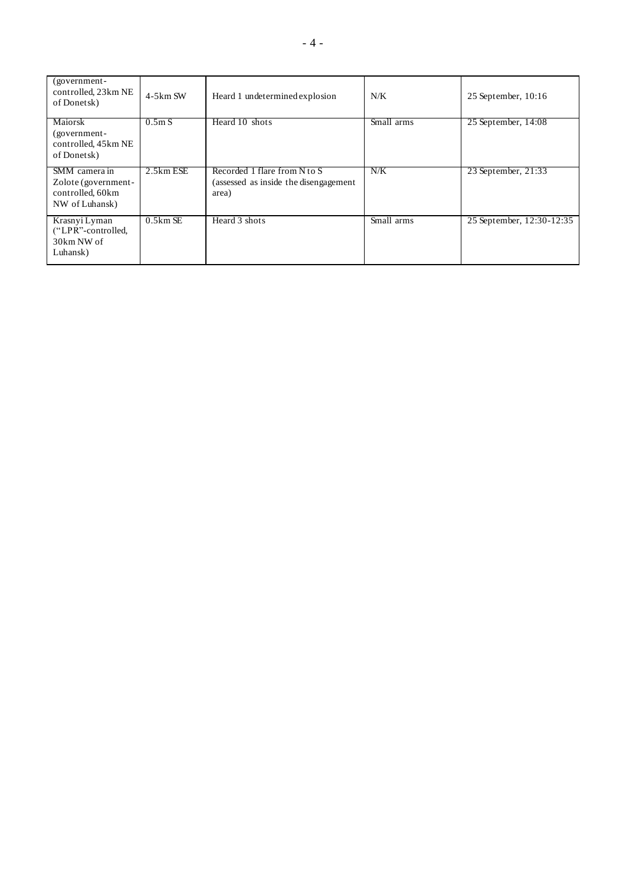| (government-<br>controlled, 23km NE<br>of Donetsk)                         | $4-5km$ SW | Heard 1 undetermined explosion                                                 | N/K        | 25 September, $10:16$     |
|----------------------------------------------------------------------------|------------|--------------------------------------------------------------------------------|------------|---------------------------|
| Maiorsk<br>(government-<br>controlled, 45km NE<br>of Donetsk)              | $0.5m$ S   | Heard 10 shots                                                                 | Small arms | 25 September, $14:08$     |
| SMM camera in<br>Zolote (government-<br>controlled, 60km<br>NW of Luhansk) | 2.5km ESE  | Recorded 1 flare from N to S<br>(assessed as inside the disengagement<br>area) | N/K        | 23 September, 21:33       |
| Krasnyi Lyman<br>("LPR"-controlled,<br>30km NW of<br>Luhansk)              | $0.5km$ SE | Heard 3 shots                                                                  | Small arms | 25 September, 12:30-12:35 |